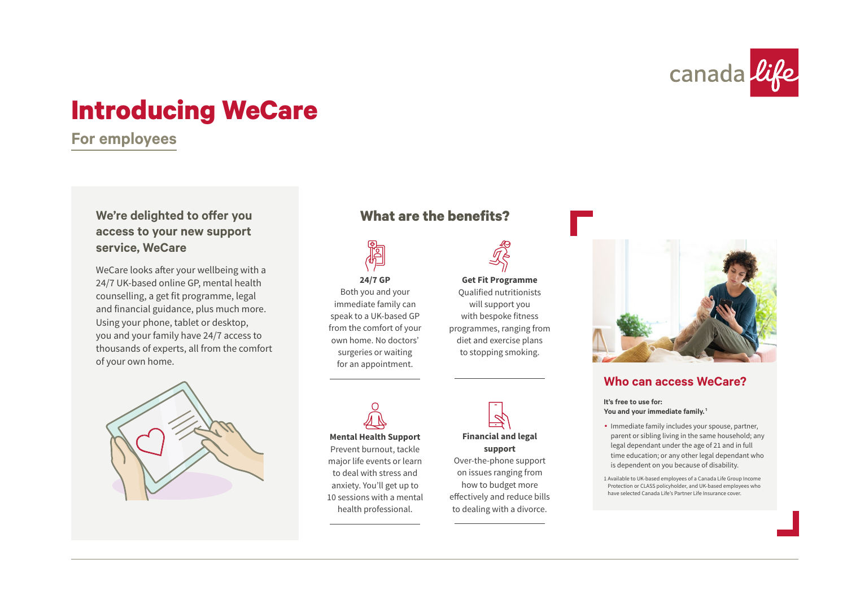

# **Introducing WeCare**

**For employees**

# **access to your new support service, WeCare**

WeCare looks after your wellbeing with a 24/7 UK-based online GP, mental health counselling, a get fit programme, legal and financial guidance, plus much more. Using your phone, tablet or desktop, you and your family have 24/7 access to thousands of experts, all from the comfort of your own home.



# **We're delighted to offer you What are the benefits?**



surgeries or waiting for an appointment.

**Get Fit Programme** Qualified nutritionists will support you with bespoke fitness programmes, ranging from to stopping smoking.



# **Who can access WeCare?**

**It's free to use for: You and your immediate family. <sup>1</sup>**

- Immediate family includes your spouse, partner, parent or sibling living in the same household; any legal dependant under the age of 21 and in full time education; or any other legal dependant who is dependent on you because of disability.
- 1 Available to UK-based employees of a Canada Life Group Income Protection or CLASS policyholder, and UK-based employees who have selected Canada Life's Partner Life Insurance cover.

diet and exercise plans

**Mental Health Support** Prevent burnout, tackle major life events or learn to deal with stress and anxiety. You'll get up to 10 sessions with a mental health professional.



effectively and reduce bills to dealing with a divorce.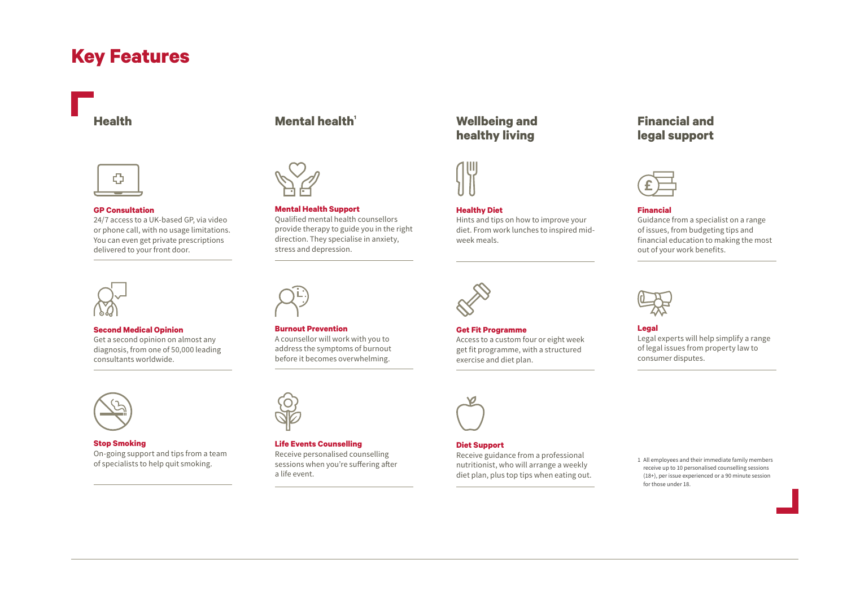# **Key Features**



#### **GP Consultation**

24/7 access to a UK-based GP, via video or phone call, with no usage limitations. You can even get private prescriptions delivered to your front door.



### **Second Medical Opinion**

Get a second opinion on almost any diagnosis, from one of 50,000 leading consultants worldwide.



### **Stop Smoking** On-going support and tips from a team of specialists to help quit smoking.

# **Health Mental health**



**Burnout Prevention**

**Life Events Counselling** Receive personalised counselling sessions when you're suffering after

a life event.

A counsellor will work with you to address the symptoms of burnout before it becomes overwhelming.

### **Mental Health Support** Qualified mental health counsellors provide therapy to guide you in the right direction. They specialise in anxiety, stress and depression.

# **Wellbeing and healthy living**



## **Healthy Diet**

Hints and tips on how to improve your diet. From work lunches to inspired midweek meals.



## **Get Fit Programme** Access to a custom four or eight week get fit programme, with a structured exercise and diet plan.



#### **Diet Support**

Receive guidance from a professional nutritionist, who will arrange a weekly diet plan, plus top tips when eating out.

# **Financial and legal support**



## **Financial**

Guidance from a specialist on a range of issues, from budgeting tips and financial education to making the most out of your work benefits.



## **Legal**

Legal experts will help simplify a range of legal issues from property law to consumer disputes.